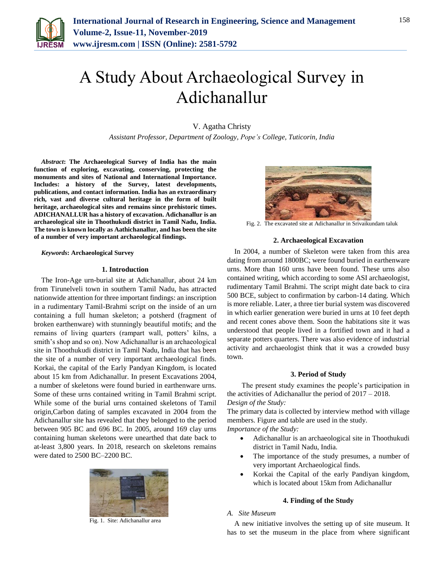

# A Study About Archaeological Survey in Adichanallur

## V. Agatha Christy

*Assistant Professor, Department of Zoology, Pope's College, Tuticorin, India*

*Abstract***: The Archaeological Survey of India has the main function of exploring, excavating, conserving, protecting the monuments and sites of National and International Importance. Includes: a history of the Survey, latest developments, publications, and contact information. India has an extraordinary rich, vast and diverse cultural heritage in the form of built heritage, archaeological sites and remains since prehistoric times. ADICHANALLUR has a history of excavation. Adichanallur is an archaeological site in Thoothukudi district in Tamil Nadu, India. The town is known locally as Aathichanallur, and has been the site of a number of very important archaeological findings.**

## *Keywords***: Archaeological Survey**

#### **1. Introduction**

The Iron-Age urn-burial site at Adichanallur, about 24 km from Tirunelveli town in southern Tamil Nadu, has attracted nationwide attention for three important findings: an inscription in a rudimentary Tamil-Brahmi script on the inside of an urn containing a full human skeleton; a potsherd (fragment of broken earthenware) with stunningly beautiful motifs; and the remains of living quarters (rampart wall, potters' kilns, a smith's shop and so on). Now Adichanallur is an archaeological site in Thoothukudi district in Tamil Nadu, India that has been the site of a number of very important archaeological finds. Korkai, the capital of the Early Pandyan Kingdom, is located about 15 km from Adichanallur. In present Excavations 2004, a number of skeletons were found buried in earthenware urns. Some of these urns contained writing in Tamil Brahmi script. While some of the burial urns contained skeletons of Tamil origin,Carbon dating of samples excavated in 2004 from the Adichanallur site has revealed that they belonged to the period between 905 BC and 696 BC. In 2005, around 169 clay urns containing human skeletons were unearthed that date back to at-least 3,800 years. In 2018, research on skeletons remains were dated to 2500 BC–2200 BC.



Fig. 1. Site: Adichanallur area



Fig. 2. The excavated site at Adichanallur in Srivaikundam taluk

## **2. Archaeological Excavation**

In 2004, a number of Skeleton were taken from this area dating from around 1800BC; were found buried in earthenware urns. More than 160 urns have been found. These urns also contained writing, which according to some ASI archaeologist, rudimentary Tamil Brahmi. The script might date back to cira 500 BCE, subject to confirmation by carbon-14 dating. Which is more reliable. Later, a three tier burial system was discovered in which earlier generation were buried in urns at 10 feet depth and recent cones above them. Soon the habitations site it was understood that people lived in a fortified town and it had a separate potters quarters. There was also evidence of industrial activity and archaeologist think that it was a crowded busy town.

#### **3. Period of Study**

The present study examines the people's participation in the activities of Adichanallur the period of 2017 – 2018. *Design of the Study:*

The primary data is collected by interview method with village members. Figure and table are used in the study.

*Importance of the Study:*

- Adichanallur is an archaeological site in Thoothukudi district in Tamil Nadu, India.
- The importance of the study presumes, a number of very important Archaeological finds.
- Korkai the Capital of the early Pandiyan kingdom, which is located about 15km from Adichanallur

## **4. Finding of the Study**

# *A. Site Museum*

A new initiative involves the setting up of site museum. It has to set the museum in the place from where significant